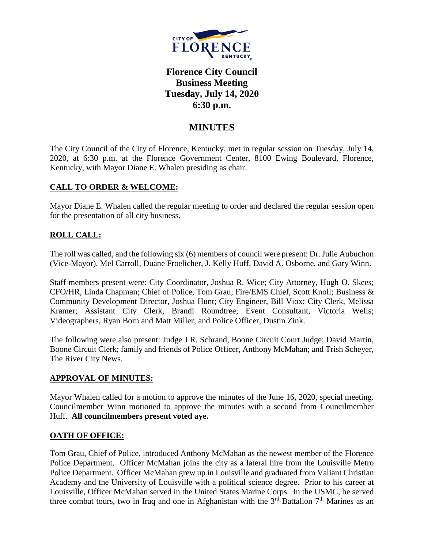

# **Florence City Council Business Meeting Tuesday, July 14, 2020 6:30 p.m.**

## **MINUTES**

The City Council of the City of Florence, Kentucky, met in regular session on Tuesday, July 14, 2020, at 6:30 p.m. at the Florence Government Center, 8100 Ewing Boulevard, Florence, Kentucky, with Mayor Diane E. Whalen presiding as chair.

#### **CALL TO ORDER & WELCOME:**

Mayor Diane E. Whalen called the regular meeting to order and declared the regular session open for the presentation of all city business.

### **ROLL CALL:**

The roll was called, and the following six (6) members of council were present: Dr. Julie Aubuchon (Vice-Mayor), Mel Carroll, Duane Froelicher, J. Kelly Huff, David A. Osborne, and Gary Winn.

Staff members present were: City Coordinator, Joshua R. Wice; City Attorney, Hugh O. Skees; CFO/HR, Linda Chapman; Chief of Police, Tom Grau; Fire/EMS Chief, Scott Knoll; Business & Community Development Director, Joshua Hunt; City Engineer, Bill Viox; City Clerk, Melissa Kramer; Assistant City Clerk, Brandi Roundtree; Event Consultant, Victoria Wells; Videographers, Ryan Born and Matt Miller; and Police Officer, Dustin Zink.

The following were also present: Judge J.R. Schrand, Boone Circuit Court Judge; David Martin, Boone Circuit Clerk; family and friends of Police Officer, Anthony McMahan; and Trish Scheyer, The River City News.

#### **APPROVAL OF MINUTES:**

Mayor Whalen called for a motion to approve the minutes of the June 16, 2020, special meeting. Councilmember Winn motioned to approve the minutes with a second from Councilmember Huff. **All councilmembers present voted aye.** 

#### **OATH OF OFFICE:**

Tom Grau, Chief of Police, introduced Anthony McMahan as the newest member of the Florence Police Department. Officer McMahan joins the city as a lateral hire from the Louisville Metro Police Department. Officer McMahan grew up in Louisville and graduated from Valiant Christian Academy and the University of Louisville with a political science degree. Prior to his career at Louisville, Officer McMahan served in the United States Marine Corps. In the USMC, he served three combat tours, two in Iraq and one in Afghanistan with the  $3<sup>rd</sup>$  Battalion  $7<sup>th</sup>$  Marines as an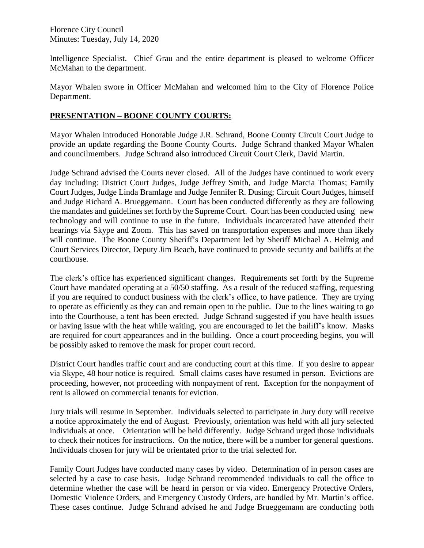Intelligence Specialist. Chief Grau and the entire department is pleased to welcome Officer McMahan to the department.

Mayor Whalen swore in Officer McMahan and welcomed him to the City of Florence Police Department.

### **PRESENTATION – BOONE COUNTY COURTS:**

Mayor Whalen introduced Honorable Judge J.R. Schrand, Boone County Circuit Court Judge to provide an update regarding the Boone County Courts. Judge Schrand thanked Mayor Whalen and councilmembers. Judge Schrand also introduced Circuit Court Clerk, David Martin.

Judge Schrand advised the Courts never closed. All of the Judges have continued to work every day including: District Court Judges, Judge Jeffrey Smith, and Judge Marcia Thomas; Family Court Judges, Judge Linda Bramlage and Judge Jennifer R. Dusing; Circuit Court Judges, himself and Judge Richard A. Brueggemann. Court has been conducted differently as they are following the mandates and guidelines set forth by the Supreme Court. Court has been conducted using new technology and will continue to use in the future. Individuals incarcerated have attended their hearings via Skype and Zoom. This has saved on transportation expenses and more than likely will continue. The Boone County Sheriff's Department led by Sheriff Michael A. Helmig and Court Services Director, Deputy Jim Beach, have continued to provide security and bailiffs at the courthouse.

The clerk's office has experienced significant changes. Requirements set forth by the Supreme Court have mandated operating at a 50/50 staffing. As a result of the reduced staffing, requesting if you are required to conduct business with the clerk's office, to have patience. They are trying to operate as efficiently as they can and remain open to the public. Due to the lines waiting to go into the Courthouse, a tent has been erected. Judge Schrand suggested if you have health issues or having issue with the heat while waiting, you are encouraged to let the bailiff's know. Masks are required for court appearances and in the building. Once a court proceeding begins, you will be possibly asked to remove the mask for proper court record.

District Court handles traffic court and are conducting court at this time. If you desire to appear via Skype, 48 hour notice is required. Small claims cases have resumed in person. Evictions are proceeding, however, not proceeding with nonpayment of rent. Exception for the nonpayment of rent is allowed on commercial tenants for eviction.

Jury trials will resume in September. Individuals selected to participate in Jury duty will receive a notice approximately the end of August. Previously, orientation was held with all jury selected individuals at once. Orientation will be held differently. Judge Schrand urged those individuals to check their notices for instructions. On the notice, there will be a number for general questions. Individuals chosen for jury will be orientated prior to the trial selected for.

Family Court Judges have conducted many cases by video. Determination of in person cases are selected by a case to case basis. Judge Schrand recommended individuals to call the office to determine whether the case will be heard in person or via video. Emergency Protective Orders, Domestic Violence Orders, and Emergency Custody Orders, are handled by Mr. Martin's office. These cases continue. Judge Schrand advised he and Judge Brueggemann are conducting both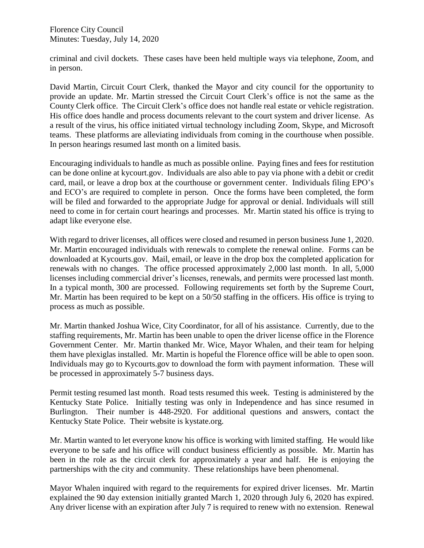criminal and civil dockets. These cases have been held multiple ways via telephone, Zoom, and in person.

David Martin, Circuit Court Clerk, thanked the Mayor and city council for the opportunity to provide an update. Mr. Martin stressed the Circuit Court Clerk's office is not the same as the County Clerk office. The Circuit Clerk's office does not handle real estate or vehicle registration. His office does handle and process documents relevant to the court system and driver license. As a result of the virus, his office initiated virtual technology including Zoom, Skype, and Microsoft teams. These platforms are alleviating individuals from coming in the courthouse when possible. In person hearings resumed last month on a limited basis.

Encouraging individuals to handle as much as possible online. Paying fines and fees for restitution can be done online at kycourt.gov. Individuals are also able to pay via phone with a debit or credit card, mail, or leave a drop box at the courthouse or government center. Individuals filing EPO's and ECO's are required to complete in person. Once the forms have been completed, the form will be filed and forwarded to the appropriate Judge for approval or denial. Individuals will still need to come in for certain court hearings and processes. Mr. Martin stated his office is trying to adapt like everyone else.

With regard to driver licenses, all offices were closed and resumed in person business June 1, 2020. Mr. Martin encouraged individuals with renewals to complete the renewal online. Forms can be downloaded at Kycourts.gov. Mail, email, or leave in the drop box the completed application for renewals with no changes. The office processed approximately 2,000 last month. In all, 5,000 licenses including commercial driver's licenses, renewals, and permits were processed last month. In a typical month, 300 are processed. Following requirements set forth by the Supreme Court, Mr. Martin has been required to be kept on a 50/50 staffing in the officers. His office is trying to process as much as possible.

Mr. Martin thanked Joshua Wice, City Coordinator, for all of his assistance. Currently, due to the staffing requirements, Mr. Martin has been unable to open the driver license office in the Florence Government Center. Mr. Martin thanked Mr. Wice, Mayor Whalen, and their team for helping them have plexiglas installed. Mr. Martin is hopeful the Florence office will be able to open soon. Individuals may go to Kycourts.gov to download the form with payment information. These will be processed in approximately 5-7 business days.

Permit testing resumed last month. Road tests resumed this week. Testing is administered by the Kentucky State Police. Initially testing was only in Independence and has since resumed in Burlington. Their number is 448-2920. For additional questions and answers, contact the Kentucky State Police. Their website is kystate.org.

Mr. Martin wanted to let everyone know his office is working with limited staffing. He would like everyone to be safe and his office will conduct business efficiently as possible. Mr. Martin has been in the role as the circuit clerk for approximately a year and half. He is enjoying the partnerships with the city and community. These relationships have been phenomenal.

Mayor Whalen inquired with regard to the requirements for expired driver licenses. Mr. Martin explained the 90 day extension initially granted March 1, 2020 through July 6, 2020 has expired. Any driver license with an expiration after July 7 is required to renew with no extension. Renewal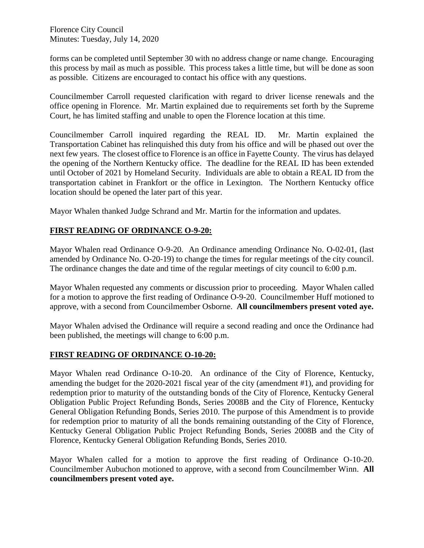forms can be completed until September 30 with no address change or name change. Encouraging this process by mail as much as possible. This process takes a little time, but will be done as soon as possible. Citizens are encouraged to contact his office with any questions.

Councilmember Carroll requested clarification with regard to driver license renewals and the office opening in Florence. Mr. Martin explained due to requirements set forth by the Supreme Court, he has limited staffing and unable to open the Florence location at this time.

Councilmember Carroll inquired regarding the REAL ID. Mr. Martin explained the Transportation Cabinet has relinquished this duty from his office and will be phased out over the next few years. The closest office to Florence is an office in Fayette County. The virus has delayed the opening of the Northern Kentucky office. The deadline for the REAL ID has been extended until October of 2021 by Homeland Security. Individuals are able to obtain a REAL ID from the transportation cabinet in Frankfort or the office in Lexington. The Northern Kentucky office location should be opened the later part of this year.

Mayor Whalen thanked Judge Schrand and Mr. Martin for the information and updates.

## **FIRST READING OF ORDINANCE O-9-20:**

Mayor Whalen read Ordinance O-9-20. An Ordinance amending Ordinance No. O-02-01, (last amended by Ordinance No. O-20-19) to change the times for regular meetings of the city council. The ordinance changes the date and time of the regular meetings of city council to 6:00 p.m.

Mayor Whalen requested any comments or discussion prior to proceeding. Mayor Whalen called for a motion to approve the first reading of Ordinance O-9-20. Councilmember Huff motioned to approve, with a second from Councilmember Osborne. **All councilmembers present voted aye.** 

Mayor Whalen advised the Ordinance will require a second reading and once the Ordinance had been published, the meetings will change to 6:00 p.m.

#### **FIRST READING OF ORDINANCE O-10-20:**

Mayor Whalen read Ordinance O-10-20. An ordinance of the City of Florence, Kentucky, amending the budget for the 2020-2021 fiscal year of the city (amendment #1), and providing for redemption prior to maturity of the outstanding bonds of the City of Florence, Kentucky General Obligation Public Project Refunding Bonds, Series 2008B and the City of Florence, Kentucky General Obligation Refunding Bonds, Series 2010. The purpose of this Amendment is to provide for redemption prior to maturity of all the bonds remaining outstanding of the City of Florence, Kentucky General Obligation Public Project Refunding Bonds, Series 2008B and the City of Florence, Kentucky General Obligation Refunding Bonds, Series 2010.

Mayor Whalen called for a motion to approve the first reading of Ordinance O-10-20. Councilmember Aubuchon motioned to approve, with a second from Councilmember Winn. **All councilmembers present voted aye.**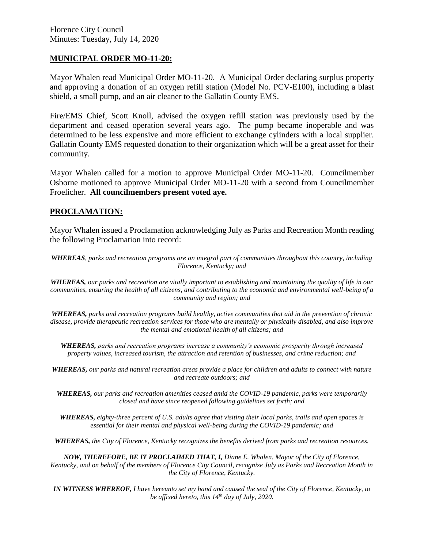#### **MUNICIPAL ORDER MO-11-20:**

Mayor Whalen read Municipal Order MO-11-20. A Municipal Order declaring surplus property and approving a donation of an oxygen refill station (Model No. PCV-E100), including a blast shield, a small pump, and an air cleaner to the Gallatin County EMS.

Fire/EMS Chief, Scott Knoll, advised the oxygen refill station was previously used by the department and ceased operation several years ago. The pump became inoperable and was determined to be less expensive and more efficient to exchange cylinders with a local supplier. Gallatin County EMS requested donation to their organization which will be a great asset for their community.

Mayor Whalen called for a motion to approve Municipal Order MO-11-20. Councilmember Osborne motioned to approve Municipal Order MO-11-20 with a second from Councilmember Froelicher. **All councilmembers present voted aye.**

#### **PROCLAMATION:**

Mayor Whalen issued a Proclamation acknowledging July as Parks and Recreation Month reading the following Proclamation into record:

*WHEREAS, parks and recreation programs are an integral part of communities throughout this country, including Florence, Kentucky; and*

*WHEREAS, our parks and recreation are vitally important to establishing and maintaining the quality of life in our communities, ensuring the health of all citizens, and contributing to the economic and environmental well-being of a community and region; and*

*WHEREAS, parks and recreation programs build healthy, active communities that aid in the prevention of chronic disease, provide therapeutic recreation services for those who are mentally or physically disabled, and also improve the mental and emotional health of all citizens; and*

*WHEREAS, parks and recreation programs increase a community's economic prosperity through increased property values, increased tourism, the attraction and retention of businesses, and crime reduction; and*

*WHEREAS, our parks and natural recreation areas provide a place for children and adults to connect with nature and recreate outdoors; and*

*WHEREAS, our parks and recreation amenities ceased amid the COVID-19 pandemic, parks were temporarily closed and have since reopened following guidelines set forth; and*

*WHEREAS, eighty-three percent of U.S. adults agree that visiting their local parks, trails and open spaces is essential for their mental and physical well-being during the COVID-19 pandemic; and*

*WHEREAS, the City of Florence, Kentucky recognizes the benefits derived from parks and recreation resources.*

*NOW, THEREFORE, BE IT PROCLAIMED THAT, I, Diane E. Whalen, Mayor of the City of Florence, Kentucky, and on behalf of the members of Florence City Council, recognize July as Parks and Recreation Month in the City of Florence, Kentucky.*

*IN WITNESS WHEREOF, I have hereunto set my hand and caused the seal of the City of Florence, Kentucky, to be affixed hereto, this 14th day of July, 2020.*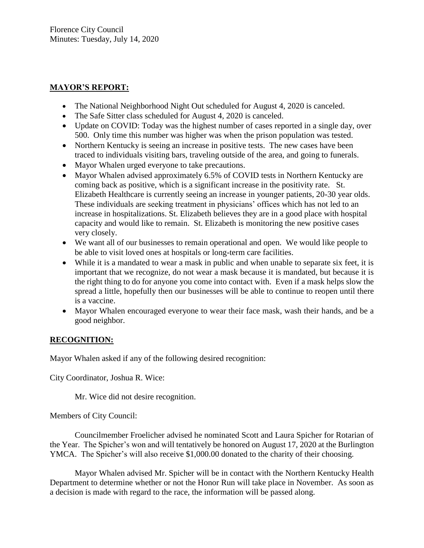### **MAYOR'S REPORT:**

- The National Neighborhood Night Out scheduled for August 4, 2020 is canceled.
- The Safe Sitter class scheduled for August 4, 2020 is canceled.
- Update on COVID: Today was the highest number of cases reported in a single day, over 500. Only time this number was higher was when the prison population was tested.
- Northern Kentucky is seeing an increase in positive tests. The new cases have been traced to individuals visiting bars, traveling outside of the area, and going to funerals.
- Mayor Whalen urged everyone to take precautions.
- Mayor Whalen advised approximately 6.5% of COVID tests in Northern Kentucky are coming back as positive, which is a significant increase in the positivity rate. St. Elizabeth Healthcare is currently seeing an increase in younger patients, 20-30 year olds. These individuals are seeking treatment in physicians' offices which has not led to an increase in hospitalizations. St. Elizabeth believes they are in a good place with hospital capacity and would like to remain. St. Elizabeth is monitoring the new positive cases very closely.
- We want all of our businesses to remain operational and open. We would like people to be able to visit loved ones at hospitals or long-term care facilities.
- While it is a mandated to wear a mask in public and when unable to separate six feet, it is important that we recognize, do not wear a mask because it is mandated, but because it is the right thing to do for anyone you come into contact with. Even if a mask helps slow the spread a little, hopefully then our businesses will be able to continue to reopen until there is a vaccine.
- Mayor Whalen encouraged everyone to wear their face mask, wash their hands, and be a good neighbor.

## **RECOGNITION:**

Mayor Whalen asked if any of the following desired recognition:

City Coordinator, Joshua R. Wice:

Mr. Wice did not desire recognition.

Members of City Council:

Councilmember Froelicher advised he nominated Scott and Laura Spicher for Rotarian of the Year. The Spicher's won and will tentatively be honored on August 17, 2020 at the Burlington YMCA. The Spicher's will also receive \$1,000.00 donated to the charity of their choosing.

Mayor Whalen advised Mr. Spicher will be in contact with the Northern Kentucky Health Department to determine whether or not the Honor Run will take place in November. As soon as a decision is made with regard to the race, the information will be passed along.